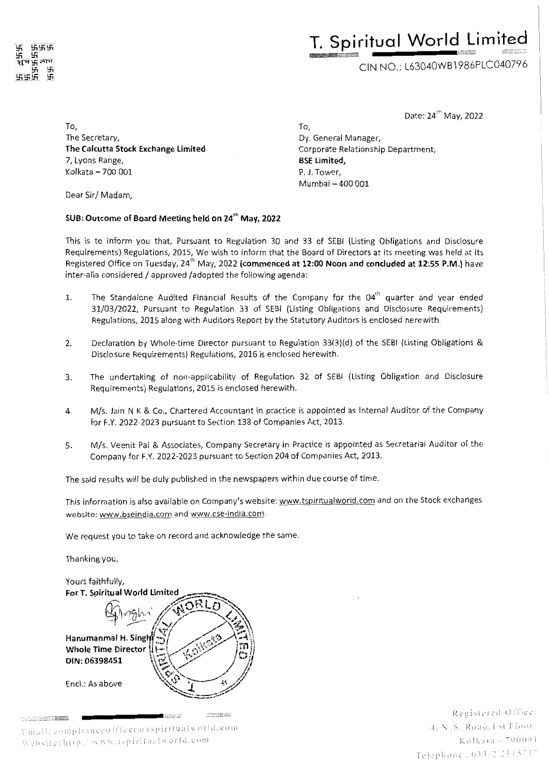

# **T. Spiritual World Limited**

CIN NO.: L63040WB l 986PLC040796

Date: 24<sup>th</sup> May, 2022

To, The Secretary, **The Calcutta Stock Exchange Limited**  7, Lyons Range, Kolkata - 700 001

Dear Sir/ Madam,

#### **SUB: Outcome of Board Meeting held on 24'h May, 2022**

This is to inform you that, Pursuant to Regulation 30 and 33 of SEBI (Listing Obligations and Disclosure Requirements) Regulations, 2015, We wish to inform that the Board of Directors at its meeting was held at its Registered Office on Tuesday, 24'h May, 2022 **(commenced at 12:00 Noon and concluded at 12:55 P.M.)** have inter-alia considered / approved /adopted the following agenda:

To,

Dy. General Manager,

**BSE Limited,**  P. J. Tower, Mumbai - 400 001

Corporate Relationship Department,

- 1. The Standalone Audited Financial Results of the Company for the  $04<sup>th</sup>$  quarter and year ended 31/03/2022, Pursuant to Regulation 33 of SEBI (Listing Obligations and Disclosure Requirements) Regulations, 2015 along with Auditors Report by the Statutory Auditors is enclosed herewith.
- 2. Declaration by Whole-time Director pursuant to Regulation 33(3)(d) of the SEBI (Listing Obligations & Disclosure Requirements) Regulations, 2016 is enclosed herewith.
- 3. The undertaking of non-applicability of Regulation 32 of SEBI (Listing Obligation and Disclosure Requirements) Regulations, 2015 is enclosed herewith.
- 4. M/s. Jain N K & Co., Chartered Accountant in practice is appointed as Internal Auditor of the Company for F.Y. 2022-2023 pursuant to Section 138 of Companies Act, 2013.
- 5. M/s. Veenit Pal & Associates, Company Secretary in Practice is appointed as Secretariai Auditor of the Company for F.Y. 2022-2023 pursuant to Section 204 of Companies Act, 2013.

The said results will be duly published in the newspapers within due course of time.

This information is also available on Company's website: www.tspiritualworld.com and on the Stock exchanges website: www.bseindia.com and www.cse-india.com.

We request you to take on record and acknowledge the same.

Thanking you,



Umail: complianceofficera (spiritualworld.com Website: http://www.tspiritualworld.com

Registered Office: 4. N.S. Road. 1 st Floor. Kolkata-700001  $T$  elephone: 033-2 2315717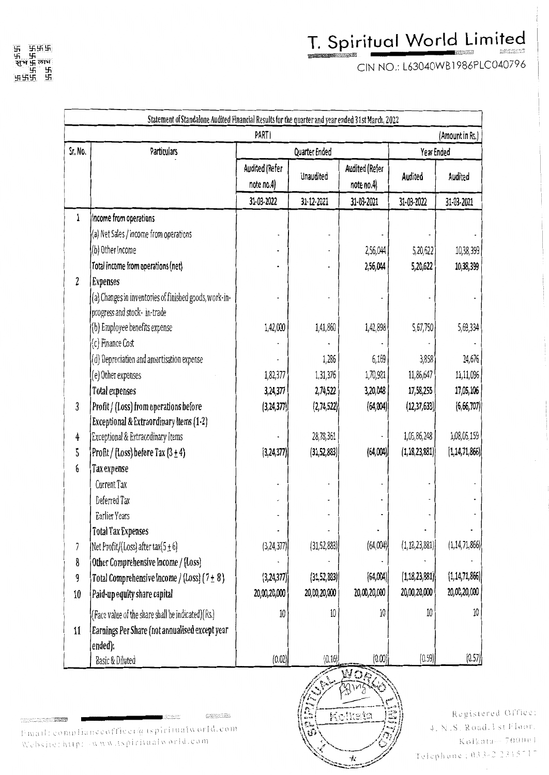CIN NO.: L63040WB l 986PLC040796

| Statement of Standalone Audited Financial Results for the quarter and year ended 31st March, 2022 |                                                        |                              |                  |                               |                  |                  |  |  |
|---------------------------------------------------------------------------------------------------|--------------------------------------------------------|------------------------------|------------------|-------------------------------|------------------|------------------|--|--|
| <b>PARTI</b><br>(Amount in Rs.)                                                                   |                                                        |                              |                  |                               |                  |                  |  |  |
| Sr. No.                                                                                           | Particulars                                            | Quarter Ended                |                  |                               |                  | Year Ended       |  |  |
|                                                                                                   |                                                        | Audited (Refer<br>note no.4) | <b>Unaudited</b> | Audited (Refer<br>note $no.4$ | Audited          | Audited          |  |  |
|                                                                                                   |                                                        | 31-03-2022                   | 31-12-2021       | 31-03-2021                    | 31-03-2022       | 31-03-2021       |  |  |
| 1                                                                                                 | Income from operations                                 |                              |                  |                               |                  |                  |  |  |
|                                                                                                   | (a) Net Sales / income from operations                 |                              |                  |                               |                  |                  |  |  |
|                                                                                                   | (b) Other Income                                       |                              |                  | 2,56,044                      | 5,20,622         | 10,38,399        |  |  |
|                                                                                                   | Total income from operations (net)                     |                              |                  | 2,56,044                      | 5,20,622         | 10,38,399        |  |  |
| $\overline{2}$                                                                                    | <b>Expenses</b>                                        |                              |                  |                               |                  |                  |  |  |
|                                                                                                   | (a) Changes in inventories of finished goods, work-in- |                              |                  |                               |                  |                  |  |  |
|                                                                                                   | progress and stock-in-trade                            |                              |                  |                               |                  |                  |  |  |
|                                                                                                   | (b) Employee benefits expense                          | 1,42,000                     | 1,41,860         | 1,42,898                      | 5,67,750         | 5,69,334         |  |  |
|                                                                                                   | (c) Finance Cost                                       |                              |                  |                               |                  |                  |  |  |
|                                                                                                   | (d) Depreciation and amortisation expense              |                              | 1,286            | 6,169                         | 3,858            | 24,676           |  |  |
|                                                                                                   | (e) Other expenses                                     | 1,82,377                     | 1,31,376         | 1,70,981                      | 11,86,647        | 11,11,096        |  |  |
|                                                                                                   | <b>Total expenses</b>                                  | 3,24,377                     | 2,74,522         | 3,20,048                      | 17,58,255        | 17,05,106        |  |  |
| 3                                                                                                 | Profit / (Loss) from operations before                 | (3, 24, 377)                 | (2,74,522)       | (64,004)                      | (12, 37, 633)    | (6,66,707)       |  |  |
|                                                                                                   | Exceptional & Extraordinary Items (1-2)                |                              |                  |                               |                  |                  |  |  |
| 4                                                                                                 | Exceptional & Extraordinary Items                      |                              | 28,78,361        |                               | 1,05,86,248      | 1,08,05,159      |  |  |
| 5                                                                                                 | Profit / (Loss) before Tax $(3 \pm 4)$                 | (3, 24, 377)                 | (31, 52, 883)    | (64,004)                      | (1, 18, 23, 881) | (1, 14, 71, 866) |  |  |
| 6                                                                                                 | Tax expense                                            |                              |                  |                               |                  |                  |  |  |
|                                                                                                   | Current Tax                                            |                              |                  |                               |                  |                  |  |  |
|                                                                                                   | Deferred Tax                                           |                              |                  |                               |                  |                  |  |  |
|                                                                                                   | Earlier Years                                          |                              |                  |                               |                  |                  |  |  |
|                                                                                                   | <b>Total Tax Expenses</b>                              |                              |                  |                               |                  |                  |  |  |
| 7                                                                                                 | Net Profit/(Loss) after tax( $5 \pm 6$ )               | (3, 24, 377)                 | (31, 52, 883)    | (64,004)                      | (1, 18, 23, 881) | (1, 14, 71, 866) |  |  |
| 8                                                                                                 | Other Comprehensive Income / (Loss)                    |                              |                  |                               |                  |                  |  |  |
| 9                                                                                                 | Total Comprehensive Income / (Loss) $(7 \pm 8)$        | (3, 24, 377)                 | (31, 52, 883)    | (64,004)                      | (1, 18, 23, 881) | (1, 14, 71, 866) |  |  |
| $10\,$                                                                                            | Paid-up equity share capital                           | 20,00,20,000                 | 20,00,20,000     | 20,00,20,000                  | 20,00,20,000     | 20,00,20,000     |  |  |
|                                                                                                   | (Face value of the share shall be indicated)(Rs.)      | 10                           | $10\,$           | $10\,$                        | 10               | 10               |  |  |
| 11                                                                                                | Earnings Per Share (not annualised except year         |                              |                  |                               |                  |                  |  |  |
|                                                                                                   | ended):                                                |                              |                  |                               |                  |                  |  |  |
|                                                                                                   | Basic & Diluted                                        | (0.02)                       | (0.16)           | (0.00)                        | (0.59)           | (0.57)           |  |  |

Finall: compliance officer@espiritualworld.com  $\left(\frac{E}{W}\sqrt{\frac{Kolkata}{W}}\right)$  4. N.S. Road.1 st Floor.  $(2220 - 2)$ **DESERVE** Website: http://www.tspiritualworld.com



Registered Office: Kolkata--- 700001 Telephone: 033-22315717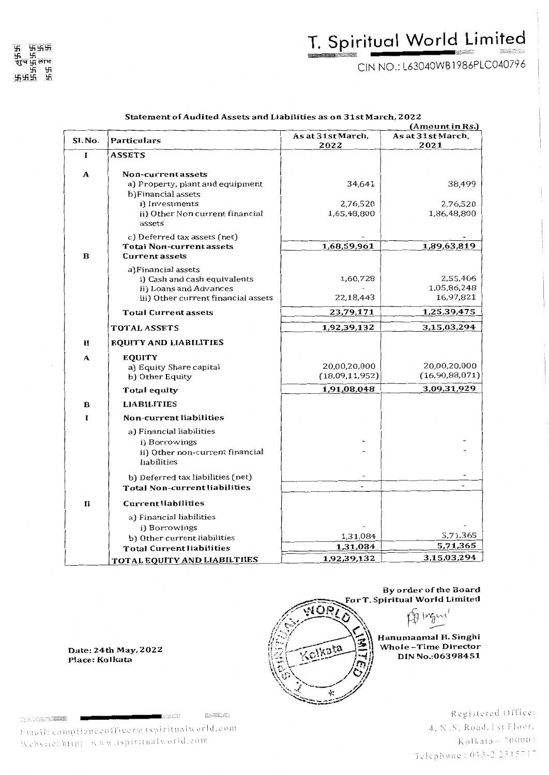CIN NO.: L63040WB l 986PLC040796

|              |                                                               | (Amount in Rs.)           |                           |  |  |
|--------------|---------------------------------------------------------------|---------------------------|---------------------------|--|--|
| SI. No.      | Particulars                                                   | As at 31st March,<br>2022 | As at 31st March,<br>2021 |  |  |
| I            | <b>ASSETS</b>                                                 |                           |                           |  |  |
|              |                                                               |                           |                           |  |  |
| A            | Non-current assets                                            |                           |                           |  |  |
|              | a) Property, plant and equipment<br>b) Financial assets       | 34,641                    | 38,499                    |  |  |
|              | i) Investments                                                | 2,76,520                  | 2,76,520                  |  |  |
|              | ii) Other Non current financial                               | 1,65,48,800               | 1,86,48,800               |  |  |
|              | assets                                                        |                           |                           |  |  |
|              | c) Deferred tax assets (net)                                  |                           |                           |  |  |
|              | <b>Total Non-current assets</b>                               | 1,68,59,961               | 1,89,63,819               |  |  |
| B            | <b>Current assets</b>                                         |                           |                           |  |  |
|              | a) Financial assets                                           |                           |                           |  |  |
|              | i) Cash and cash equivalents                                  | 1,60,728                  | 2,55,406                  |  |  |
|              | ii) Loans and Advances<br>iii) Other current financial assets | 22,18,443                 | 1,05,86,248<br>16,97,821  |  |  |
|              |                                                               |                           |                           |  |  |
|              | <b>Total Current assets</b>                                   | 23,79,171                 | 1,25,39,475               |  |  |
|              | TOTAL ASSETS                                                  | 1,92,39,132               | 3,15,03,294               |  |  |
| $\mathbf{I}$ | <b>EQUITY AND LIABILITIES</b>                                 |                           |                           |  |  |
| A            | <b>EQUITY</b>                                                 |                           |                           |  |  |
|              | a) Equity Share capital                                       | 20,00,20,000              | 20,00,20,000              |  |  |
|              | b) Other Equity                                               | (18,09,11,952)            | (16,90,88,071)            |  |  |
|              | Total equity                                                  | 1,91,08,048               | 3,09,31,929               |  |  |
| в            | <b>LIABILITIES</b>                                            |                           |                           |  |  |
| I            | Non-current liabilities                                       |                           |                           |  |  |
|              | a) Financial liabilities                                      |                           |                           |  |  |
|              | i) Borrowings                                                 |                           |                           |  |  |
|              | ii) Other non-current financial                               |                           |                           |  |  |
|              | liabilities                                                   |                           |                           |  |  |
|              | b) Deferred tax liabilities (net)                             |                           |                           |  |  |
|              | Total Non-current liabilities                                 |                           |                           |  |  |
| $\mathbf{I}$ | <b>Current liabilities</b>                                    |                           |                           |  |  |
|              | a) Financial liabilities                                      |                           |                           |  |  |
|              | i) Borrowings                                                 |                           |                           |  |  |
|              | b) Other current liabilities                                  | 1,31,084                  | 5,71,365                  |  |  |
|              | <b>Total Current liabilities</b>                              | 1,31,084                  | 5,71,365                  |  |  |
|              | TOTAL EQUITY AND LIABILTIIES                                  | 1,92,39,132               | 3,15,03,294               |  |  |

#### Statement of Audited Assets and Liabilities as on 31st March, 2022

Date: 24th May, 2022 Place: Kolkata

**TERMINERAL PROPERTY** 



vesca

t-mail: compliance officer@ tspiritualworld.com Website: http://www.tspiritualworld.com



Registered Office: 4. N.S. Road. 1 st Floor.  $K$ olkata $-$ <sup>700001</sup> Telephone: 033-22315717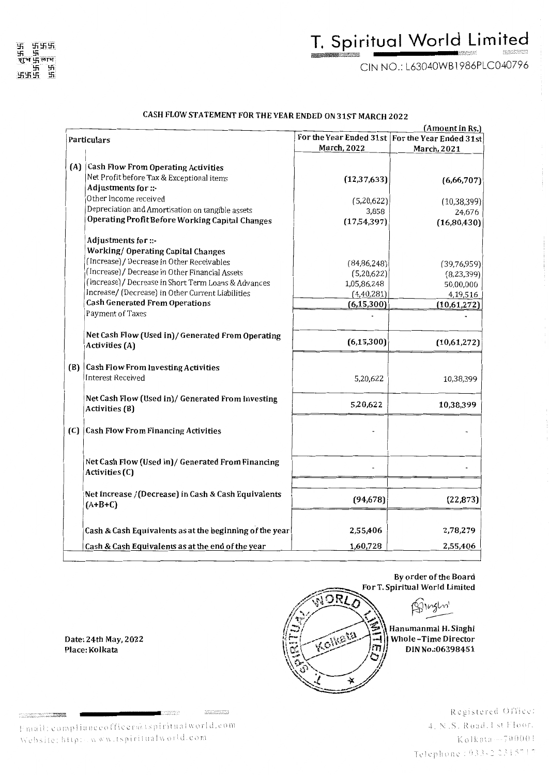CIN NO.: L63040WB l 986PLC040796

#### CASH FLOW STATEMENT FOR THE YEAR ENDED ON 31ST MARCH 2022

|                    |                                                                   |               | (Amount in Rs.)                                   |  |
|--------------------|-------------------------------------------------------------------|---------------|---------------------------------------------------|--|
| <b>Particulars</b> |                                                                   |               | For the Year Ended 31st   For the Year Ended 31st |  |
|                    |                                                                   | March, 2022   | March, 2021                                       |  |
|                    |                                                                   |               |                                                   |  |
|                    | (A) Cash Flow From Operating Activities                           |               |                                                   |  |
|                    | Net Profit before Tax & Exceptional items                         | (12, 37, 633) | (6,66,707)                                        |  |
|                    | Adjustments for ::-                                               |               |                                                   |  |
|                    | Other Income received                                             | (5,20,622)    | (10, 38, 399)                                     |  |
|                    | Depreciation and Amortisation on tangible assets                  | 3,858         | 24,676                                            |  |
|                    | Operating Profit Before Working Capital Changes                   | (17,54,397)   | (16,80,430)                                       |  |
|                    | Adjustments for ::-                                               |               |                                                   |  |
|                    | <b>Working/ Operating Capital Changes</b>                         |               |                                                   |  |
|                    | (Increase) / Decrease in Other Receivables                        | (84, 86, 248) | (39,76,959)                                       |  |
|                    | (Increase) / Decrease in Other Financial Assets                   | (5,20,622)    | (8, 23, 399)                                      |  |
|                    | (Increase) / Decrease in Short Term Loans & Advances              | 1,05,86,248   | 50,00,000                                         |  |
|                    | Increase/ (Decrease) in Other Current Liabilities                 | (4,40,281)    | 4,19,516                                          |  |
|                    | <b>Cash Generated From Operations</b>                             | (6, 15, 300)  | (10,61,272)                                       |  |
|                    | Payment of Taxes                                                  |               |                                                   |  |
|                    |                                                                   |               |                                                   |  |
|                    | Net Cash Flow (Used in) / Generated From Operating                | (6, 15, 300)  | (10,61,272)                                       |  |
|                    | Activities (A)                                                    |               |                                                   |  |
|                    | (B) Cash Flow From Investing Activities                           |               |                                                   |  |
|                    | <b>Interest Received</b>                                          | 5,20,622      | 10,38,399                                         |  |
|                    |                                                                   |               |                                                   |  |
|                    | Net Cash Flow (Used in)/ Generated From Investing                 | 5,20,622      | 10,38,399                                         |  |
|                    | Activities (B)                                                    |               |                                                   |  |
|                    | (C) Cash Flow From Financing Activities                           |               |                                                   |  |
|                    |                                                                   |               |                                                   |  |
|                    | Net Cash Flow (Used in) / Generated From Financing                |               |                                                   |  |
|                    | Activities (C)                                                    |               |                                                   |  |
|                    |                                                                   |               |                                                   |  |
|                    | Net Increase / (Decrease) in Cash & Cash Equivalents<br>$(A+B+C)$ | (94, 678)     | (22, 873)                                         |  |
|                    |                                                                   |               |                                                   |  |
|                    | Cash & Cash Equivalents as at the beginning of the year           | 2,55,406      | 2,78,279                                          |  |
|                    | Cash & Cash Equivalents as at the end of the year                 | 1,60,728      | 2,55,406                                          |  |
|                    |                                                                   |               |                                                   |  |

Date: 24th May, 2022 Place: Kolkata

**Service Andre** 

Fmail: complianceofficer*à*: tspiritualworld.com<br>Website: http: . . w w w.tspiritualworld.com

.<br>Santa (1971)<br>Santa (1981)



Registered Office: 4. N.S. Road. I st Floor. Kolkata-700001 Telephone: 033-2 2315717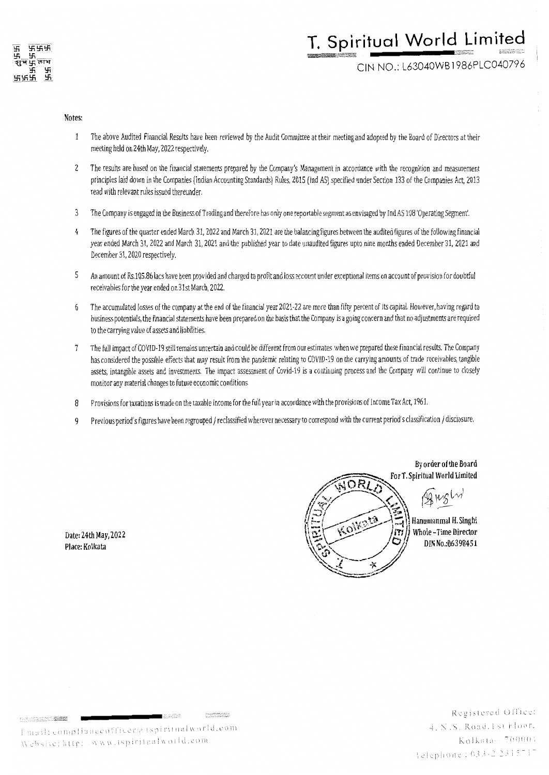

# **T. Spiritual World Limited** ~S'en el segundo de la construcción de la construcción de la construcción de la construcción de la construcció<br>En el segundo de la construcción de la construcción de la construcción de la construcción de la construcción d

CIN NO.: L63040WB **l** 986PLC040796

#### **Notes:**

- The above Audited Financial Results have been reviewed by the Audit Committee at their meeting and adopted by the Board of Directors at their  $\mathbf{1}$ meeting held on 24th May, 2022 respectively.
- 2 The results are based on the financial statements prepared by the Company's Management in accordance with the recognition and measurement principles laid down in the Companies (Indian Accounting Standards) Rules, 2015 (Ind AS) specified under Section 133 of the Companies Act, 2013 read with relevant rules issued thereunder.
- 3 The Company is engaged in the Business of Trading and therefore has only one reportable segment as envisaged by Ind AS 108 'Operating Segment'.
- 4 The figures of the quarter ended March 31, 2022 and March 31, 2021 are the balancing figures between the audited figures of the following financial year ended March 31, 2022 and March 31, 2021 and the published year to date unaudited figures upto nine months ended December 31, 2021 and December 31, 2020 respectively.
- 5 An amount of Rs.105.86 lacs have been provided and charged to profit and loss account under exceptional items on account of provision for doubtful receivables for the year ended on 31st March, 2022.
- 6 The accumulated losses of the company at the end of the financial year 2021-22 are more than fifty percent of its capital. However, having regard to business potentials, the financial statements have been prepared on the basis that the Company is a going concern and that no adjustments are required to the carrying value of assets and liabilities.
- 7 The full impact of COVJD-19 still remains uncertain and could be different from our estimates when we prepared these financial results. The Company has considered the possible effects that may result from the pandemic relating to COVID-19 on the carrying amounts of trade receivables, tangible assets, intangible assets and investments. The impact assessment of Covid-19 is a continuing process and the Company will continue to closely monitor any material changes to future economic conditions.
- 8 Provisions for taxations is made on the taxable income for the full year in accordance with the provisions of Income Tax *Act,* 1961.
- 9 Previous period's figures have been regrouped / reclassified wherever necessary to correspond with the current period's classification / disclosure.

**Date: 24th May, 2022 Place: Kolkata** 



MARKET START

2788032889

sadis

ail: compliance

Registered Office: 4. N.S. Road. 1 st Floor.  $K$ olkata $-70000$ : lelephone: 033-22315717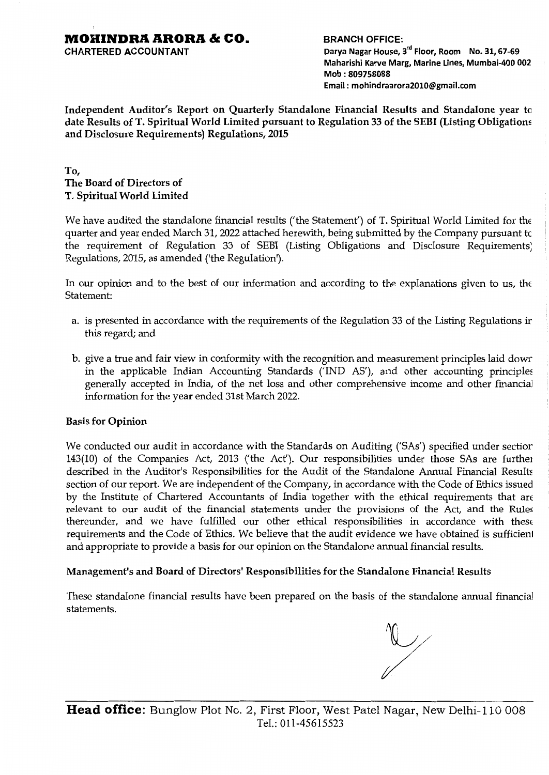CHARTERED ACCOUNTANT

BRANCH OFFICE: Darya Nagar House, 3<sup>rd</sup> Floor, Room No. 31, 67-69 Maharishi Karve Marg, Marine Lines, Mumbai-400 002

Mob : 809758088 Email : mohindraarora2010@gmail.com

Independent Auditor's Report on Quarterly Standalone Financial Results and Standalone year tu date Results of T. Spiritual World Limited pursuant to Regulation 33 of the SEBI (Listing Obligatiom and Disclosure Requirements) Regulations, 2015

### To, The Board of Directors of T. Spiritual World Limited

We have audited the standalone financial results ('the Statement') of T. Spiritual World Limited for the quarter and year ended March 31, 2022 attached herewith, being submitted by the Company pursuant tc the requirement of Regulation 33 of SEBI (Listing Obligations and Disclosure Requirements; Regulations, 2015, as amended ('the Regulation').

In our opinion and to the best of our information and according to the explanations given to us, the Statement:

- a. is presented in accordance with the requirements of the Regulation 33 of the Listing Regulations ir this regard; and
- b. give a true and fair view in conformity with the recognition and measurement principles laid dowr in the applicable Indian Accounting Standards ('IND AS'), and other accounting principles generally accepted in India, of the net loss and other comprehensive income and other financial information for the year ended 31st March 2022.

#### Basis for Opinion

We conducted our audit in accordance with the Standards on Auditing ('SAs') specified under sectior 143(10) of the Companies Act, 2013 ('the Act'). Our responsibilities under those SAs are furthe1 described in the Auditor's Responsibilities for the Audit of the Standalone Annual Financial Results section of our report. We are independent of the Company, in accordance with the Code of Ethics issued by the Institute of Chartered Accountants of India together with the ethical requirements that are relevant to our audit of the financial statements under the provisions of the Act, and the Rules thereunder, and we have fulfilled our other ethical responsibilities in accordance with these requirements and the Code of Ethics. We believe that the audit evidence we have obtained is sufficienl and appropriate to provide a basis for our opinion on the Standalone annual financial results.

#### Management's and Board of Directors' Responsibilities for the Standalone Financial Results

These standalone financial results have been prepared on the basis of the standalone annual financial statements.

 $\overline{v}$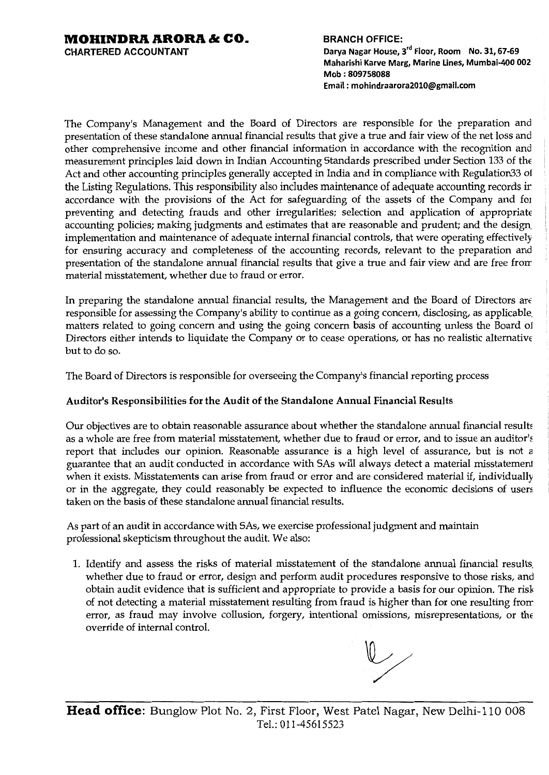CHARTERED ACCOUNTANT

BRANCH OFFICE: Darya Nagar House, 3<sup>rd</sup> Floor, Room No. 31, 67-69 Maharishi Karve Marg, Marine Lines, Mumbai-400 002 Mob : 809758088 Email : mohindraarora2010@gmail.com

The Company's Management and the Board of Directors are responsible for the preparation and presentation of these standalone annual financial results that give a true and fair view of the net loss and other comprehensive income and other financial information in accordance with the recognition and measurement principles laid down in Indian Accounting Standards prescribed under Section 133 of the Act and other accounting principles generally accepted in India and in compliance with Regulation33 o1 the Listing Regulations. This responsibility also includes maintenance of adequate accounting records ir accordance with the provisions of the Act for safeguarding of the assets of the Company and for preventing and detecting frauds and other irregularities; selection and application of appropriate accounting policies; making judgments and estimates that are reasonable and prudent; and the design, implementation and maintenance of adequate internal financial controls, that were operating effectively for ensuring accuracy and completeness of the accounting records, relevant to the preparation and presentation of the standalone annual financial results that give a true and fair view and are free frorr material misstatement, whether due to fraud or error.

In preparing the standalone annual financial results, the Management and the Board of Directors are responsible for assessing the Company's ability to continue as a going concern, disclosing, as applicable, matters related to going concern and using the going concern basis of accounting unless the Board o1 Directors either intends to liquidate the Company or to cease operations, or has no realistic alternative but to do so.

The Board of Directors is responsible for overseeing the Company's financial reporting process

## Auditor's Responsibilities for the Audit of the Standalone Annual Financial Results

Our objectives are to obtain reasonable assurance about whether the standalone annual financial results as a whole are free from material misstatement, whether due to fraud or error, and to issue an auditor's report that includes our opinion. Reasonable assurance is a high level of assurance, but is not a guarantee that an audit conducted in accordance with SAs will always detect a material misstatemen1 when it exists. Misstatements can arise from fraud or error and are considered material if, individually or in the aggregate, they could reasonably be expected to influence the economic decisions of users taken on the basis of these standalone annual financial results.

As part of an audit in accordance with SAs, we exercise professional judgment and maintain professional skepticism throughout the audit. We also:

1. Identify and assess the risks of material misstatement of the standalone annual financial results, whether due to fraud or error, design and perform audit procedures responsive to those risks, and obtain audit evidence that is sufficient and appropriate to provide a basis for our opinion. The risk of not detecting a material misstatement resulting from fraud is higher than for one resulting frorr error, as fraud may involve collusion, forgery, intentional omissions, misrepresentations, or the override of internal control.

 $\mathbb{V}_{\scriptscriptstyle\diagup}$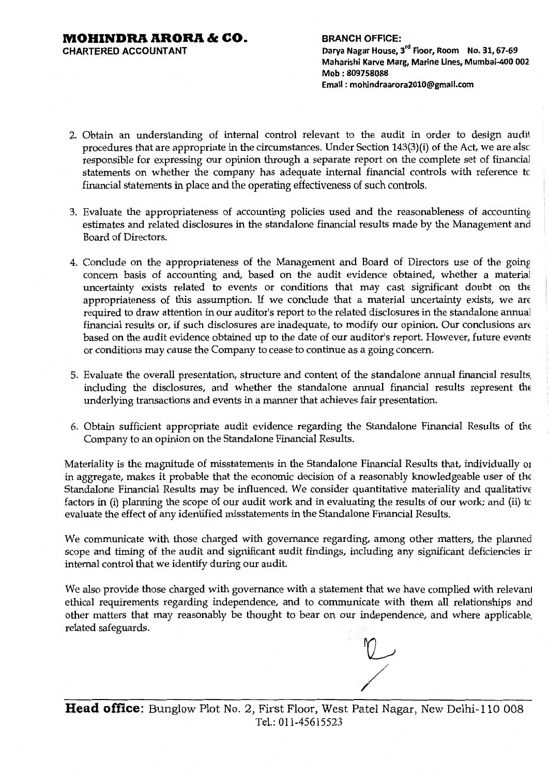**CHARTERED ACCOUNTANT** 

**BRANCH OFFICE: Darya Nagar House,** 3rd **Floor, Room No. 31, 67-69 Maharishi Karve Marg, Marine Lines, Mumbai-400 002 Mob : 809758088 Email : mohindraarora2010@gmail.com** 

- 2. Obtain an understanding of internal control relevant to the audit in order to design audil procedures that are appropriate in the circumstances. Under Section 143(3)(i) of the Act, we are alsc responsible for expressing our opinion through a separate report on the complete set of financial statements on whether the company has adequate internal financial controls with reference tc financial statements in place and the operating effectiveness of such controls.
- 3. Evaluate the appropriateness of accounting policies used and the reasonableness of accounting estimates and related disclosures in the standalone financial results made by the Management and Board of Directors.
- 4. Conclude on the appropriateness of the Management and Board of Directors use of the going concern basis of accounting and, based on the audit evidence obtained, whether a material uncertainty exists related to events or conditions that may cast significant doubt on the appropriateness of this assumption. If we conclude that a material uncertainty exists, we are required to draw attention in our auditor's report to the related disclosures in the standalone annual financial results or, if such disclosures are inadequate, to modify our opinion. Our conclusions are based on the audit evidence obtained up to the date of our auditor's report. However, future events or conditions may cause the Company to cease to continue as a going concern.
- 5. Evaluate the overall presentation, structure and content of the standalone annual financial results. including the disclosures, and whether the standalone annual financial results represent the underlying transactions and events in a manner that achieves fair presentation.
- 6. Obtain sufficient appropriate audit evidence regarding the Standalone Financial Results of the Company to an opinion on the Standalone Financial Results.

Materiality is the magnitude of misstatements in the Standalone Financial Results that, individually <sup>01</sup> in aggregate, makes it probable that the economic decision of a reasonably knowledgeable user of the Standalone Financial Results may be influenced. We consider quantitative materiality and qualitative factors in (i) planning the scope of our audit work and in evaluating the results of our work; and (ii) tc evaluate the effect of any identified misstatements in the Standalone Financial Results.

We communicate with those charged with governance regarding, among other matters, the planned scope and timing of the audit and significant audit findings, including any significant deficiencies ir internal control that we identify during our audit.

We also provide those charged with governance with a statement that we have complied with relevani ethical requirements regarding independence, and to communicate with them all relationships and other matters that may reasonably be thought to bear on our independence, and where applicable. related safeguards.

**Head office:** Bunglow Plot No. 2, First Floor, West Patel Nagar, New Delhi-110 008 Tel.: 011-45615523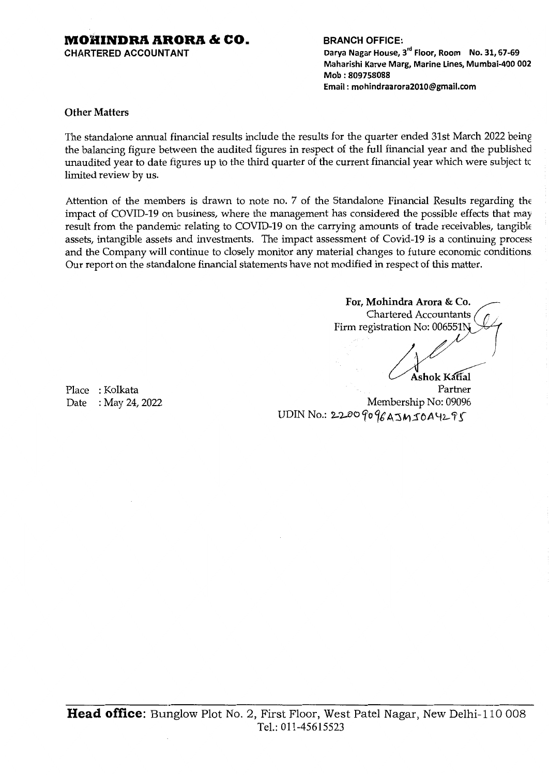CHARTERED ACCOUNTANT

#### BRANCH OFFICE:

Darya Nagar House, 3'd Floor, Room No. 31, 67-69 Maharishi Karve Marg, Marine Lines, Mumbai-400 002 Mob : 809758088 Email : mohindraarora2010@gmail.com

#### Other Matters

The standalone annual financial results include the results for the quarter ended 31st March 2022 being the balancing figure between the audited figures in respect of the full financial year and the published unaudited year to date figures up to the third quarter of the current financial year which were subject tc limited review by us.

Attention of the members is drawn to note no. 7 of the Standalone Financial Results regarding the impact of COVID-19 on business, where the management has considered the possible effects that may result from the pandemic relating to COVID-19 on the carrying amounts of trade receivables, tangible assets, intangible assets and investments. The impact assessment of Covid-19 is a continuing process and the Company will continue to closely monitor any material changes to future economic conditions Our report on the standalone financial statements have not modified in respect of this matter.

For, Mohindra Arora & Co. , Chartered Accountants ; Firm registration No: 006551N I Ashok Katial Partner Membership No: 09096 UDIN No.: 2200 90 96 A 5M 50 A Y295

Place : Kolkata Date : May 24, 2022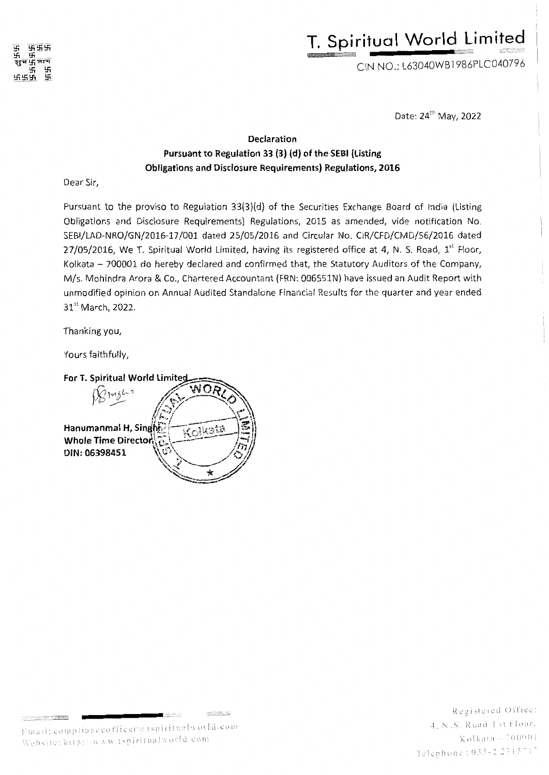# **T. Spiritual World Limited** ~~~~~""£~ .r,.;,.;;;;;:;~~"""'·

CIN NO.: L63040WB 1986PLC040796

Date: 24th May, 2022

## **Declaration Pursuant to Regulation 33 (3) (d) of the SEBI (Listing Obligations and Disclosure Requirements) Regulations, 2016**

Dear Sir,

Pursuant to the proviso to Regulation 33(3)(d) of the Securities Exchange Board of India (Listing Obligations and Disclosure Requirements) Regulations, 2015 as amended, vide notification No. SEBl/LAD-NRO/GN/2016-17/001 dated 25/05/2016 and Circular No. CIR/CFD/CMD/56/2016 dated  $27/05/2016$ , We T. Spiritual World Limited, having its registered office at 4, N. S. Road.  $1<sup>st</sup>$  Floor. Kolkata - 700001 do hereby declared and confirmed that, the Statutory Auditors of the Company. M/s. Mahindra Arora & Co., Chartered Accountant (FRN: 006551N) have issued an Audit Report with unmodified opinion on Annual Audited Standalone Financial Results for the quarter and year ended 31<sup>st</sup> March, 2022.

Thanking you,

Yours faithfully,

For T. Spiritual World Limited



 $\mathcal{L}^{\infty}_{\mathcal{L}}(\mathcal{L}^{\infty}_{\mathcal{L}}(\overline{\mathcal{L}}^{\infty}_{\mathcal{L}},\overline{\mathcal{L}}^{\infty}_{\mathcal{L}}))$ 

 $0.7070$ 

: :"" i ! ] l l I ~t : \'. I. l :· *!* :..J ( ''1 ~Ci] k ~l 1 :l --: i; () :·r () !

Registered Office: 4. N.S. Road. 1 st Floor. Telephone: 033-2 2315717